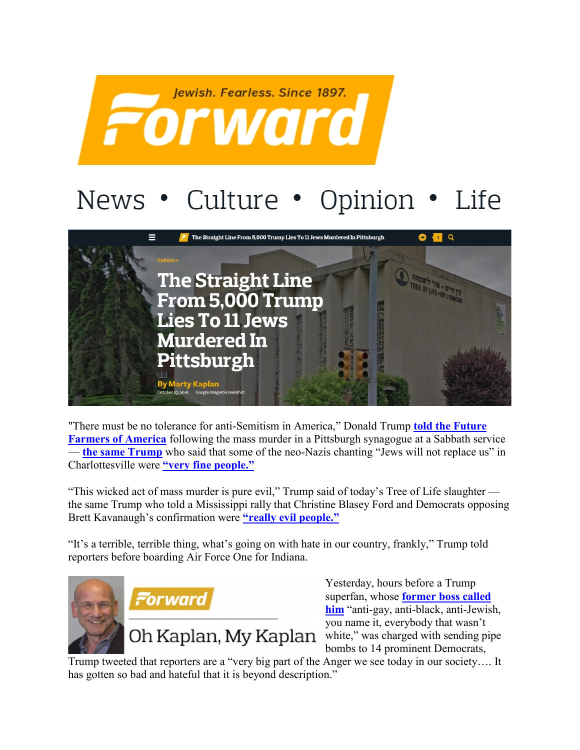

## News • Culture • Opinion • Life



"There must be no tolerance for anti-Semitism in America," Donald Trump **[told the Future](https://www.washingtonpost.com/national/religion/trump-condemns-pittsburgh-synagogue-shooting-says-there-must-be-no-tolerance-for-anti-semitism-in-america/2018/10/27/e2cbf9ca-da1d-11e8-8384-bcc5492fef49_story.html?noredirect=on&utm_term=.c253fb3eae0f)  [Farmers of America](https://www.washingtonpost.com/national/religion/trump-condemns-pittsburgh-synagogue-shooting-says-there-must-be-no-tolerance-for-anti-semitism-in-america/2018/10/27/e2cbf9ca-da1d-11e8-8384-bcc5492fef49_story.html?noredirect=on&utm_term=.c253fb3eae0f)** following the mass murder in a Pittsburgh synagogue at a Sabbath service — **[the same Trump](https://forward.com/opinion/412816/what-has-trump-done-to-us-america/?attribution=home-hero-item-text-2)** who said that some of the neo-Nazis chanting "Jews will not replace us" in Charlottesville were **["very fine people."](https://www.politico.com/story/2017/08/15/full-text-trump-comments-white-supremacists-alt-left-transcript-241662)** 

"This wicked act of mass murder is pure evil," Trump said of today's Tree of Life slaughter the same Trump who told a Mississippi rally that Christine Blasey Ford and Democrats opposing Brett Kavanaugh's confirmation were **["really evil people."](https://www.nbcnews.com/politics/politics-news/trump-mocks-christine-blasey-ford-mississippi-campaign-rally-n916061)**

"It's a terrible, terrible thing, what's going on with hate in our country, frankly," Trump told reporters before boarding Air Force One for Indiana.



Yesterday, hours before a Trump superfan, whose **[former boss called](https://www.youtube.com/watch?v=0dHyITt1Uws)  [him](https://www.youtube.com/watch?v=0dHyITt1Uws)** "anti-gay, anti-black, anti-Jewish, you name it, everybody that wasn't white," was charged with sending pipe bombs to 14 prominent Democrats,

Trump tweeted that reporters are a "very big part of the Anger we see today in our society…. It has gotten so bad and hateful that it is beyond description."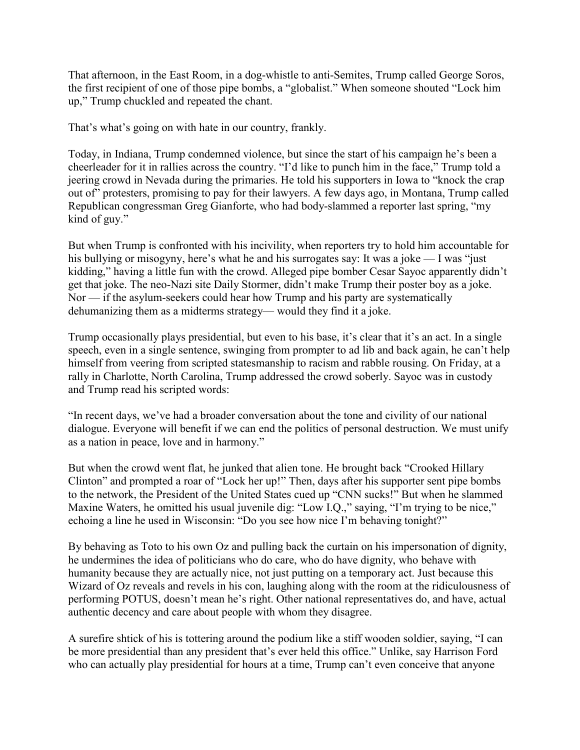That afternoon, in the East Room, in a dog-whistle to anti-Semites, Trump called George Soros, the first recipient of one of those pipe bombs, a "globalist." When someone shouted "Lock him up," Trump chuckled and repeated the chant.

That's what's going on with hate in our country, frankly.

Today, in Indiana, Trump condemned violence, but since the start of his campaign he's been a cheerleader for it in rallies across the country. "I'd like to punch him in the face," Trump told a jeering crowd in Nevada during the primaries. He told his supporters in Iowa to "knock the crap out of" protesters, promising to pay for their lawyers. A few days ago, in Montana, Trump called Republican congressman Greg Gianforte, who had body-slammed a reporter last spring, "my kind of guy."

But when Trump is confronted with his incivility, when reporters try to hold him accountable for his bullying or misogyny, here's what he and his surrogates say: It was a joke — I was "just kidding," having a little fun with the crowd. Alleged pipe bomber Cesar Sayoc apparently didn't get that joke. The neo-Nazi site Daily Stormer, didn't make Trump their poster boy as a joke. Nor — if the asylum-seekers could hear how Trump and his party are systematically dehumanizing them as a midterms strategy— would they find it a joke.

Trump occasionally plays presidential, but even to his base, it's clear that it's an act. In a single speech, even in a single sentence, swinging from prompter to ad lib and back again, he can't help himself from veering from scripted statesmanship to racism and rabble rousing. On Friday, at a rally in Charlotte, North Carolina, Trump addressed the crowd soberly. Sayoc was in custody and Trump read his scripted words:

"In recent days, we've had a broader conversation about the tone and civility of our national dialogue. Everyone will benefit if we can end the politics of personal destruction. We must unify as a nation in peace, love and in harmony."

But when the crowd went flat, he junked that alien tone. He brought back "Crooked Hillary Clinton" and prompted a roar of "Lock her up!" Then, days after his supporter sent pipe bombs to the network, the President of the United States cued up "CNN sucks!" But when he slammed Maxine Waters, he omitted his usual juvenile dig: "Low I.Q.," saying, "I'm trying to be nice," echoing a line he used in Wisconsin: "Do you see how nice I'm behaving tonight?"

By behaving as Toto to his own Oz and pulling back the curtain on his impersonation of dignity, he undermines the idea of politicians who do care, who do have dignity, who behave with humanity because they are actually nice, not just putting on a temporary act. Just because this Wizard of Oz reveals and revels in his con, laughing along with the room at the ridiculousness of performing POTUS, doesn't mean he's right. Other national representatives do, and have, actual authentic decency and care about people with whom they disagree.

A surefire shtick of his is tottering around the podium like a stiff wooden soldier, saying, "I can be more presidential than any president that's ever held this office." Unlike, say Harrison Ford who can actually play presidential for hours at a time, Trump can't even conceive that anyone